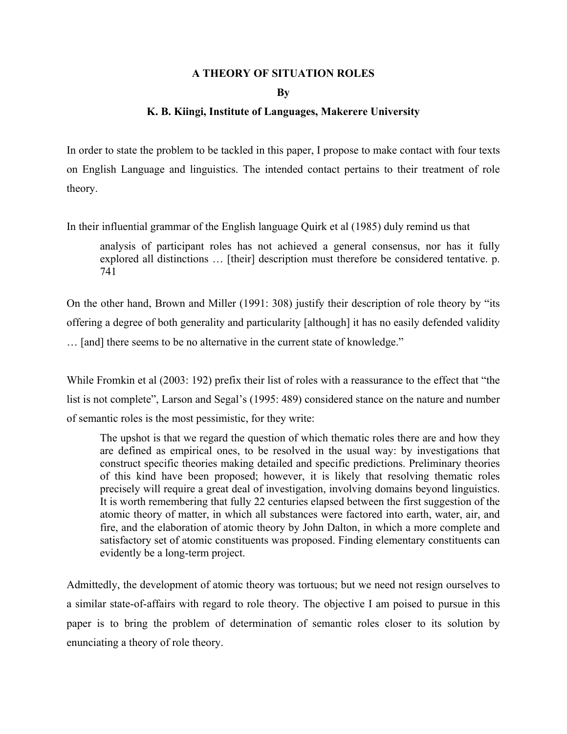### **A THEORY OF SITUATION ROLES**

**By** 

#### **K. B. Kiingi, Institute of Languages, Makerere University**

In order to state the problem to be tackled in this paper, I propose to make contact with four texts on English Language and linguistics. The intended contact pertains to their treatment of role theory.

In their influential grammar of the English language Quirk et al (1985) duly remind us that

analysis of participant roles has not achieved a general consensus, nor has it fully explored all distinctions … [their] description must therefore be considered tentative. p. 741

On the other hand, Brown and Miller (1991: 308) justify their description of role theory by "its offering a degree of both generality and particularity [although] it has no easily defended validity … [and] there seems to be no alternative in the current state of knowledge."

While Fromkin et al (2003: 192) prefix their list of roles with a reassurance to the effect that "the list is not complete", Larson and Segal's (1995: 489) considered stance on the nature and number of semantic roles is the most pessimistic, for they write:

The upshot is that we regard the question of which thematic roles there are and how they are defined as empirical ones, to be resolved in the usual way: by investigations that construct specific theories making detailed and specific predictions. Preliminary theories of this kind have been proposed; however, it is likely that resolving thematic roles precisely will require a great deal of investigation, involving domains beyond linguistics. It is worth remembering that fully 22 centuries elapsed between the first suggestion of the atomic theory of matter, in which all substances were factored into earth, water, air, and fire, and the elaboration of atomic theory by John Dalton, in which a more complete and satisfactory set of atomic constituents was proposed. Finding elementary constituents can evidently be a long-term project.

Admittedly, the development of atomic theory was tortuous; but we need not resign ourselves to a similar state-of-affairs with regard to role theory. The objective I am poised to pursue in this paper is to bring the problem of determination of semantic roles closer to its solution by enunciating a theory of role theory.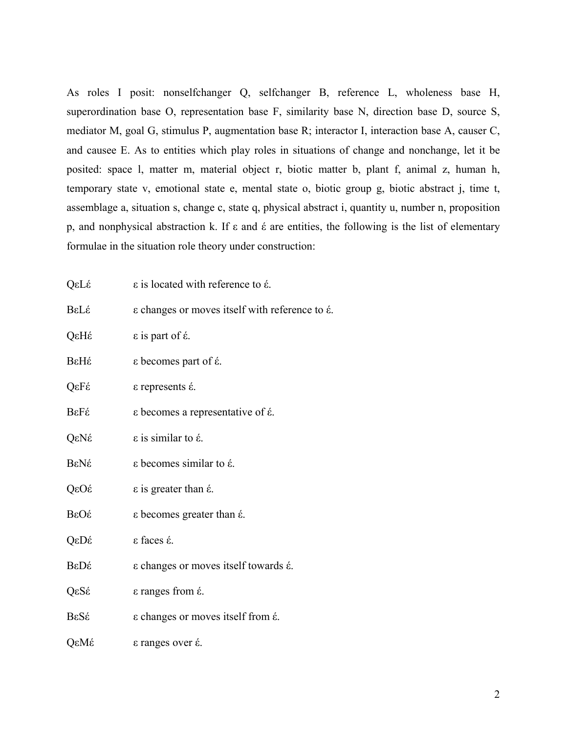As roles I posit: nonselfchanger Q, selfchanger B, reference L, wholeness base H, superordination base O, representation base F, similarity base N, direction base D, source S, mediator M, goal G, stimulus P, augmentation base R; interactor I, interaction base A, causer C, and causee E. As to entities which play roles in situations of change and nonchange, let it be posited: space l, matter m, material object r, biotic matter b, plant f, animal z, human h, temporary state v, emotional state e, mental state o, biotic group g, biotic abstract j, time t, assemblage a, situation s, change c, state q, physical abstract i, quantity u, number n, proposition p, and nonphysical abstraction k. If  $\varepsilon$  and  $\varepsilon$  are entities, the following is the list of elementary formulae in the situation role theory under construction:

| QεLέ | ε is located with reference to έ.                     |  |
|------|-------------------------------------------------------|--|
| BεLέ | ε changes or moves itself with reference to έ.        |  |
| QεHέ | $\epsilon$ is part of $\epsilon$ .                    |  |
| ΒεΗέ | $\epsilon$ becomes part of $\acute{\epsilon}$ .       |  |
| QεFέ | $\epsilon$ represents $\acute{\epsilon}$ .            |  |
| BεFέ | ε becomes a representative of έ.                      |  |
| QεNέ | $\epsilon$ is similar to $\epsilon$ .                 |  |
| ΒεΝέ | $\varepsilon$ becomes similar to $\acute{\epsilon}$ . |  |
| QεOέ | $\epsilon$ is greater than $\epsilon$ .               |  |
| ΒεΟέ | ε becomes greater than έ.                             |  |
| QεDέ | ε faces έ.                                            |  |
| ΒεDέ | ε changes or moves itself towards έ.                  |  |
| QεSέ | ε ranges from έ.                                      |  |
| BεSέ | ε changes or moves itself from έ.                     |  |
| QεMέ | $\epsilon$ ranges over $\acute{\epsilon}$ .           |  |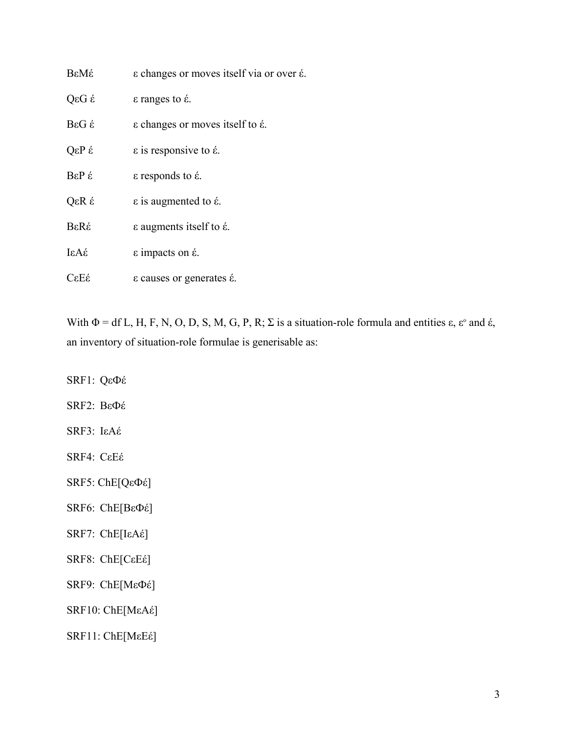| ΒεΜέ                       | ε changes or moves itself via or over έ.                 |
|----------------------------|----------------------------------------------------------|
| g D <sub>3</sub> Q         | $\epsilon$ ranges to $\acute{\epsilon}$ .                |
| $BeG \n\leq$               | $\epsilon$ changes or moves itself to $\epsilon$ .       |
| $\hat{B}$ q <sub>3</sub> Q | $\epsilon$ is responsive to $\acute{\epsilon}$ .         |
| BεP έ                      | $\varepsilon$ responds to $\acute{\varepsilon}$ .        |
| QεR έ                      | $\epsilon$ is augmented to $\epsilon$ .                  |
| BεRέ                       | $\varepsilon$ augments itself to $\acute{\varepsilon}$ . |
| $i\in A$                   | $\epsilon$ impacts on $\acute{\epsilon}$ .               |
| CεEέ                       | ε causes or generates έ.                                 |

With  $\Phi = df L$ , H, F, N, O, D, S, M, G, P, R;  $\Sigma$  is a situation-role formula and entities  $\varepsilon$ ,  $\varepsilon$ <sup>o</sup> and  $\varepsilon$ , an inventory of situation-role formulae is generisable as:

SRF1: QεФέ SRF2: BεФέ SRF3: IεAέ SRF4: CεEέ SRF5: ChE[QεФέ] SRF6: ChE[BεФέ] SRF7: ChE[IεAέ] SRF8: ChE[CεEέ] SRF9: ChE[MεФέ]

SRF11: ChE[MεEέ]

SRF10: ChE[MεAέ]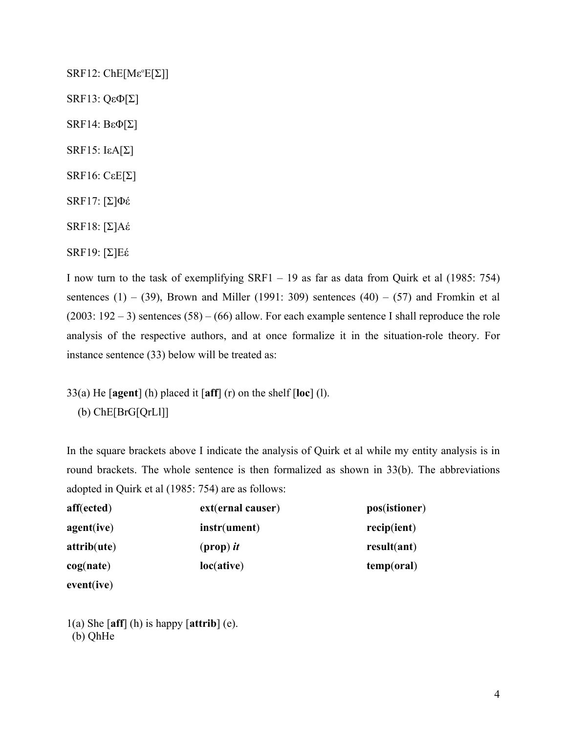$SRF12:$  ChE[M $\varepsilon$ <sup>o</sup>E[ $\Sigma$ ]] SRF13: QεФ[Σ] SRF14: BεΦ[Σ] SRF15:  $IεA[Σ]$ SRF16: CεE[Σ] SRF17: [Σ]Φέ SRF18: [Σ]Aέ SRF19: [Σ]Eέ

I now turn to the task of exemplifying SRF1 – 19 as far as data from Quirk et al (1985: 754) sentences (1) – (39), Brown and Miller (1991: 309) sentences (40) – (57) and Fromkin et al  $(2003: 192 - 3)$  sentences  $(58) - (66)$  allow. For each example sentence I shall reproduce the role analysis of the respective authors, and at once formalize it in the situation-role theory. For instance sentence (33) below will be treated as:

33(a) He [**agent**] (h) placed it [**aff**] (r) on the shelf [**loc**] (l). (b) ChE[BrG[QrLl]]

In the square brackets above I indicate the analysis of Quirk et al while my entity analysis is in round brackets. The whole sentence is then formalized as shown in 33(b). The abbreviations adopted in Quirk et al (1985: 754) are as follows:

| aff(ected)  | ext(ernal causer) | pos(istioner) |
|-------------|-------------------|---------------|
| agent(ive)  | instr(ument)      | recip(ient)   |
| attribute() | $(prop)$ it       | result(ant)   |
| cog(nate)   | loc(ative)        | temp(oral)    |
|             |                   |               |

**event**(**ive**)

1(a) She [**aff**] (h) is happy [**attrib**] (e). (b) QhHe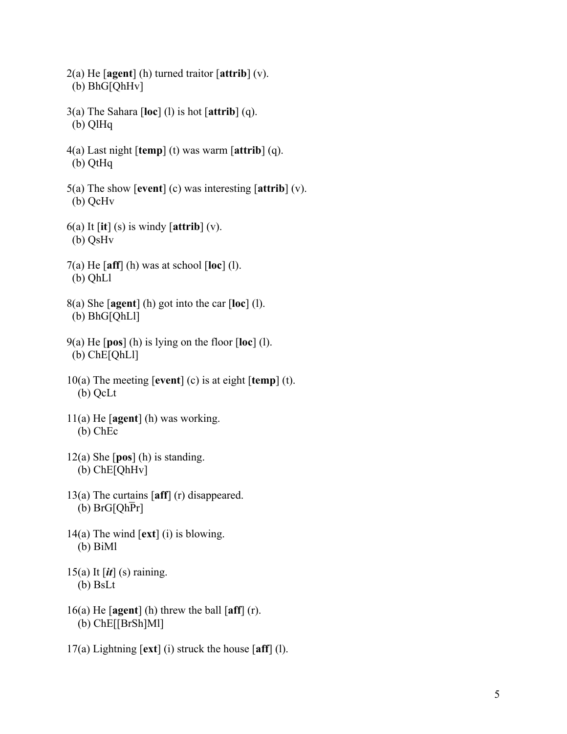- 2(a) He [**agent**] (h) turned traitor [**attrib**] (v). (b) BhG[QhHv]
- 3(a) The Sahara [**loc**] (l) is hot [**attrib**] (q). (b) QlHq
- 4(a) Last night [**temp**] (t) was warm [**attrib**] (q). (b) QtHq
- 5(a) The show [**event**] (c) was interesting [**attrib**] (v). (b) QcHv
- 6(a) It [**it**] (s) is windy [**attrib**] (v). (b) QsHv
- 7(a) He [**aff**] (h) was at school [**loc**] (l). (b) QhLl
- 8(a) She [**agent**] (h) got into the car [**loc**] (l). (b) BhG[QhLl]
- 9(a) He [**pos**] (h) is lying on the floor [**loc**] (l). (b) ChE[QhLl]
- 10(a) The meeting [**event**] (c) is at eight [**temp**] (t). (b) QcLt
- 11(a) He [**agent**] (h) was working. (b) ChEc
- 12(a) She [**pos**] (h) is standing. (b) ChE[QhHv]
- 13(a) The curtains [**aff**] (r) disappeared. (b)  $BrG[Qh\overline{P}r]$
- 14(a) The wind [**ext**] (i) is blowing. (b) BiMl
- 15(a) It [*it*] (s) raining. (b) BsLt
- 16(a) He [**agent**] (h) threw the ball [**aff**] (r). (b) ChE[[BrSh]Ml]
- 17(a) Lightning [**ext**] (i) struck the house [**aff**] (l).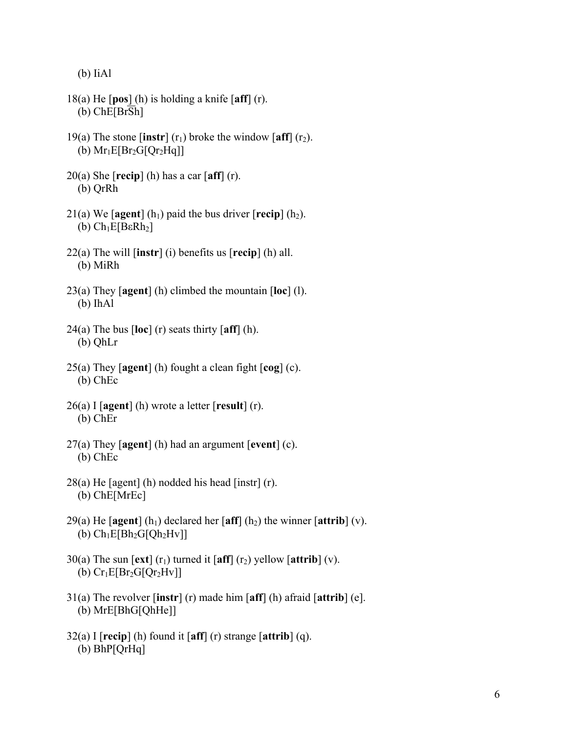(b) IiAl

- 18(a) He [**pos**] (h) is holding a knife [**aff**] (r). (b) ChE[BrSh]
- 19(a) The stone  $\left[$ **instr** $\right]$  ( $r_1$ ) broke the window  $\left[$ **aff** $\right]$  ( $r_2$ ). (b)  $Mr_1E[Br_2G[Qr_2Hq]]$
- 20(a) She [**recip**] (h) has a car [**aff**] (r). (b) QrRh
- 21(a) We  $\lceil \text{agent} \rceil$  (h<sub>1</sub>) paid the bus driver  $\lceil \text{recip} \rceil$  (h<sub>2</sub>). (b)  $Ch_1E[BeRh_2]$
- 22(a) The will [**instr**] (i) benefits us [**recip**] (h) all. (b) MiRh
- 23(a) They [**agent**] (h) climbed the mountain [**loc**] (l). (b) IhAl
- 24(a) The bus [**loc**] (r) seats thirty [**aff**] (h). (b) QhLr
- 25(a) They [**agent**] (h) fought a clean fight [**cog**] (c). (b) ChEc
- 26(a) I [**agent**] (h) wrote a letter [**result**] (r). (b) ChEr
- 27(a) They [**agent**] (h) had an argument [**event**] (c). (b) ChEc
- 28(a) He [agent] (h) nodded his head [instr] (r). (b) ChE[MrEc]
- 29(a) He  $\lceil \text{agent} \rceil$  (h<sub>1</sub>) declared her  $\lceil \text{aff} \rceil$  (h<sub>2</sub>) the winner  $\lceil \text{attribute} \rceil$  (v). (b)  $Ch_1E[Bh_2G[Qh_2Hv]]$
- 30(a) The sun  $\left[ \text{ext} \right]$  (r<sub>1</sub>) turned it  $\left[ \text{aff} \right]$  (r<sub>2</sub>) yellow  $\left[ \text{attribute} \right]$  (v). (b)  $Cr_1E[Br_2G[Or_2Hv]]$
- 31(a) The revolver [**instr**] (r) made him [**aff**] (h) afraid [**attrib**] (e]. (b) MrE[BhG[QhHe]]
- 32(a) I [**recip**] (h) found it [**aff**] (r) strange [**attrib**] (q). (b) BhP[QrHq]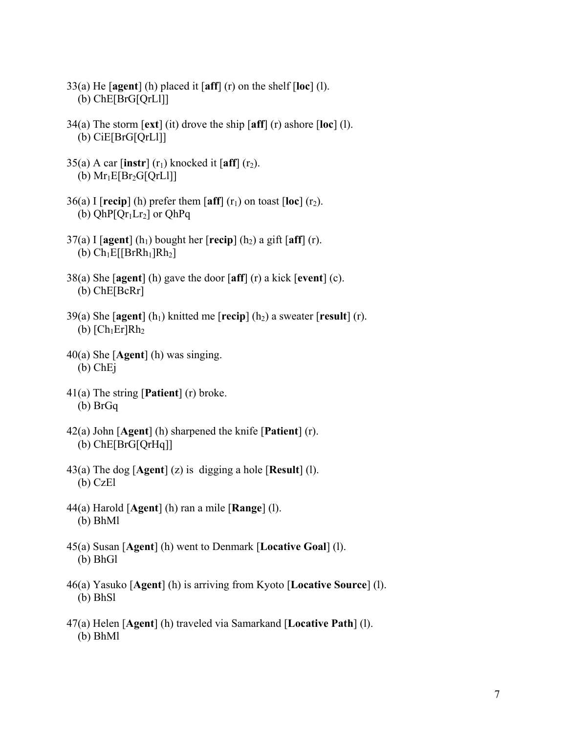- 33(a) He [**agent**] (h) placed it [**aff**] (r) on the shelf [**loc**] (l). (b) ChE[BrG[QrLl]]
- 34(a) The storm [**ext**] (it) drove the ship [**aff**] (r) ashore [**loc**] (l). (b) CiE[BrG[QrLl]]
- 35(a) A car  $\left[\text{instr}\right]$  (r<sub>1</sub>) knocked it  $\left[\text{aff}\right]$  (r<sub>2</sub>). (b)  $Mr_1E[Br_2G[QrL1]]$
- $36(a)$  I [**recip**] (h) prefer them [aff] (r<sub>1</sub>) on toast [loc] (r<sub>2</sub>). (b)  $QhP[Qr_1Lr_2]$  or  $QhPq$
- $37(a)$  I [agent] (h<sub>1</sub>) bought her [**recip**] (h<sub>2</sub>) a gift [aff] (r). (b)  $Ch_1E[BrRh_1]Rh_2]$
- 38(a) She [**agent**] (h) gave the door [**aff**] (r) a kick [**event**] (c). (b) ChE[BcRr]
- 39(a) She  $\lceil \text{agent} \rceil$  (h<sub>1</sub>) knitted me  $\lceil \text{recip} \rceil$  (h<sub>2</sub>) a sweater  $\lceil \text{result} \rceil$  (r). (b)  $[Ch_1Er]Rh_2$
- 40(a) She [**Agent**] (h) was singing. (b) ChEj
- 41(a) The string [**Patient**] (r) broke. (b) BrGq
- 42(a) John [**Agent**] (h) sharpened the knife [**Patient**] (r). (b) ChE[BrG[QrHq]]
- 43(a) The dog [**Agent**] (z) is digging a hole [**Result**] (l). (b) CzEl
- 44(a) Harold [**Agent**] (h) ran a mile [**Range**] (l). (b) BhMl
- 45(a) Susan [**Agent**] (h) went to Denmark [**Locative Goal**] (l). (b) BhGl
- 46(a) Yasuko [**Agent**] (h) is arriving from Kyoto [**Locative Source**] (l). (b) BhSl
- 47(a) Helen [**Agent**] (h) traveled via Samarkand [**Locative Path**] (l). (b) BhMl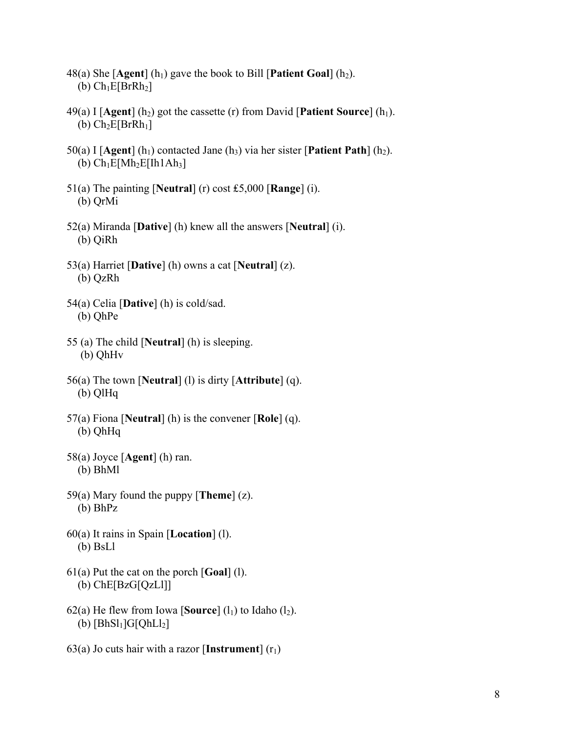- 48(a) She  $[Agent]$  (h<sub>1</sub>) gave the book to Bill  $[Pattern Goal]$  (h<sub>2</sub>). (b)  $Ch_1E[BrRh_2]$
- 49(a) I  $[A$ gent $]$  (h<sub>2</sub>) got the cassette (r) from David [Patient Source] (h<sub>1</sub>). (b)  $Ch_2E[BrRh_1]$
- 50(a) I [Agent] (h<sub>1</sub>) contacted Jane (h<sub>3</sub>) via her sister [Patient Path] (h<sub>2</sub>). (b)  $Ch_1E[Mh_2E[Ih1Ah_3]$
- 51(a) The painting [**Neutral**] (r) cost ₤5,000 [**Range**] (i). (b) QrMi
- 52(a) Miranda [**Dative**] (h) knew all the answers [**Neutral**] (i). (b) QiRh
- 53(a) Harriet [**Dative**] (h) owns a cat [**Neutral**] (z). (b) QzRh
- 54(a) Celia [**Dative**] (h) is cold/sad. (b) QhPe
- 55 (a) The child [**Neutral**] (h) is sleeping. (b) QhHv
- 56(a) The town [**Neutral**] (l) is dirty [**Attribute**] (q). (b) QlHq
- 57(a) Fiona [**Neutral**] (h) is the convener [**Role**] (q). (b) QhHq
- 58(a) Joyce [**Agent**] (h) ran. (b) BhMl
- 59(a) Mary found the puppy [**Theme**] (z). (b) BhPz
- 60(a) It rains in Spain [**Location**] (l). (b) BsLl
- 61(a) Put the cat on the porch [**Goal**] (l). (b) ChE[BzG[QzLl]]
- 62(a) He flew from Iowa [**Source**]  $(l_1)$  to Idaho  $(l_2)$ . (b)  $[BhSl_1]G[QhLl_2]$
- 63(a) Jo cuts hair with a razor [**Instrument**]  $(r_1)$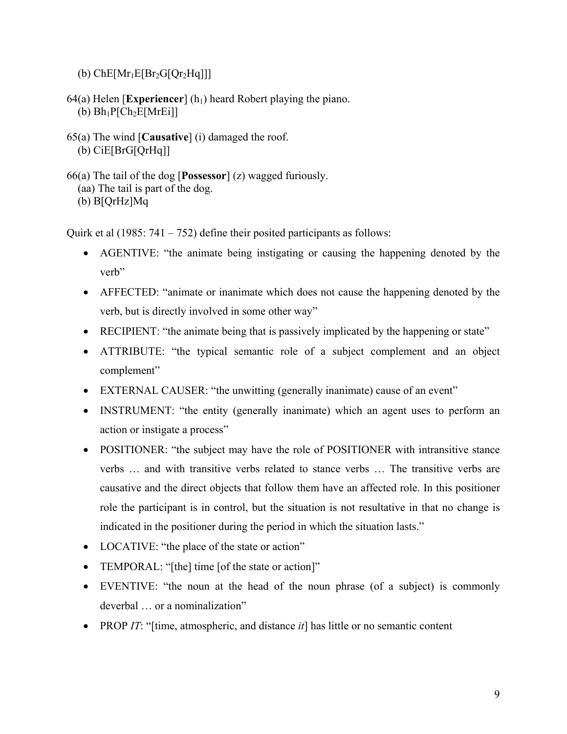- (b)  $ChE[Mr_1E[Br_2G[Qr_2Hq]]]$
- 64(a) Helen [**Experiencer**] ( $h_1$ ) heard Robert playing the piano. (b)  $Bh_1P[Ch_2E[MrE1]]$
- 65(a) The wind [**Causative**] (i) damaged the roof. (b) CiE[BrG[QrHq]]
- 66(a) The tail of the dog [**Possessor**] (z) wagged furiously. (aa) The tail is part of the dog. (b) B[QrHz]Mq

Quirk et al  $(1985: 741 - 752)$  define their posited participants as follows:

- AGENTIVE: "the animate being instigating or causing the happening denoted by the verb"
- AFFECTED: "animate or inanimate which does not cause the happening denoted by the verb, but is directly involved in some other way"
- RECIPIENT: "the animate being that is passively implicated by the happening or state"
- ATTRIBUTE: "the typical semantic role of a subject complement and an object complement"
- EXTERNAL CAUSER: "the unwitting (generally inanimate) cause of an event"
- INSTRUMENT: "the entity (generally inanimate) which an agent uses to perform an action or instigate a process"
- POSITIONER: "the subject may have the role of POSITIONER with intransitive stance verbs … and with transitive verbs related to stance verbs … The transitive verbs are causative and the direct objects that follow them have an affected role. In this positioner role the participant is in control, but the situation is not resultative in that no change is indicated in the positioner during the period in which the situation lasts."
- LOCATIVE: "the place of the state or action"
- TEMPORAL: "[the] time [of the state or action]"
- EVENTIVE: "the noun at the head of the noun phrase (of a subject) is commonly deverbal … or a nominalization"
- PROP *IT*: "[time, atmospheric, and distance *it*] has little or no semantic content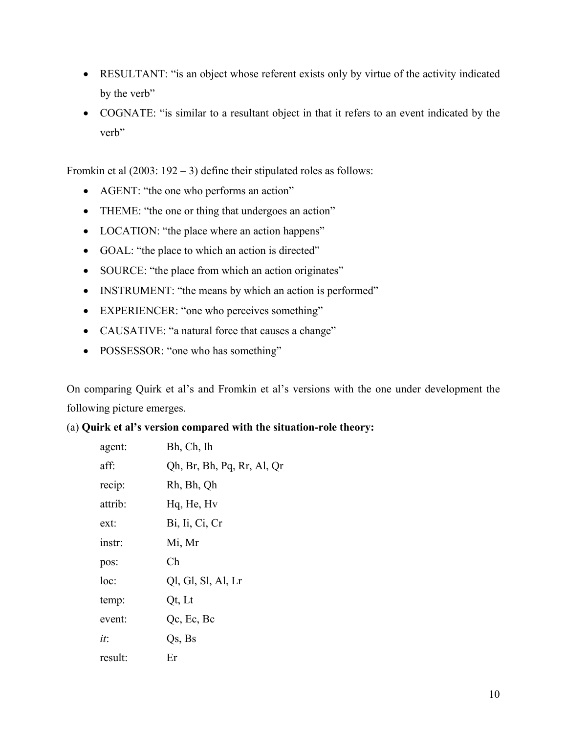- RESULTANT: "is an object whose referent exists only by virtue of the activity indicated by the verb"
- COGNATE: "is similar to a resultant object in that it refers to an event indicated by the verb"

Fromkin et al  $(2003: 192 - 3)$  define their stipulated roles as follows:

- AGENT: "the one who performs an action"
- THEME: "the one or thing that undergoes an action"
- LOCATION: "the place where an action happens"
- GOAL: "the place to which an action is directed"
- SOURCE: "the place from which an action originates"
- INSTRUMENT: "the means by which an action is performed"
- EXPERIENCER: "one who perceives something"
- CAUSATIVE: "a natural force that causes a change"
- POSSESSOR: "one who has something"

On comparing Quirk et al's and Fromkin et al's versions with the one under development the following picture emerges.

## (a) **Quirk et al's version compared with the situation-role theory:**

| agent:  | Bh, Ch, Ih                 |
|---------|----------------------------|
| aff:    | Qh, Br, Bh, Pq, Rr, Al, Qr |
| recip:  | Rh, Bh, Qh                 |
| attrib: | Hq, He, Hv                 |
| ext:    | Bi, Ii, Ci, Cr             |
| instr:  | Mi, Mr                     |
| pos:    | Ch                         |
| loc:    | Ql, Gl, Sl, Al, Lr         |
| temp:   | Qt, Lt                     |
| event:  | Qc, Ec, Bc                 |
| it:     | Qs, Bs                     |
| result: | Er                         |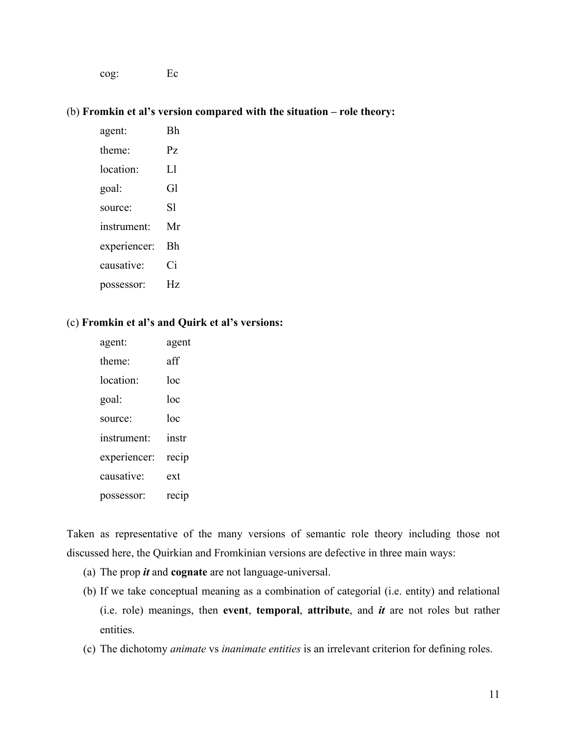cog: Ec

#### (b) **Fromkin et al's version compared with the situation – role theory:**

 agent: Bh theme: Pz location: Ll goal: Gl source: Sl instrument: Mr experiencer: Bh causative: Ci possessor: Hz

### (c) **Fromkin et al's and Quirk et al's versions:**

| agent:       | agent |
|--------------|-------|
| theme:       | aff   |
| location:    | loc   |
| goal:        | loc   |
| source:      | loc   |
| instrument:  | instr |
| experiencer: | recip |
| causative:   | ext   |
| possessor:   | recip |

Taken as representative of the many versions of semantic role theory including those not discussed here, the Quirkian and Fromkinian versions are defective in three main ways:

- (a) The prop *it* and **cognate** are not language-universal.
- (b) If we take conceptual meaning as a combination of categorial (i.e. entity) and relational (i.e. role) meanings, then **event**, **temporal**, **attribute**, and *it* are not roles but rather entities.
- (c) The dichotomy *animate* vs *inanimate entities* is an irrelevant criterion for defining roles.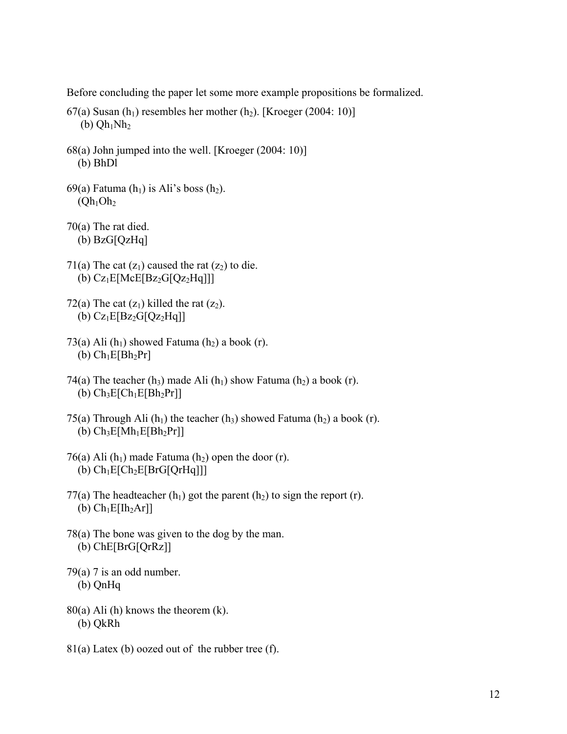Before concluding the paper let some more example propositions be formalized.

- 67(a) Susan  $(h_1)$  resembles her mother  $(h_2)$ . [Kroeger (2004: 10)] (b)  $Qh_1Nh_2$
- 68(a) John jumped into the well. [Kroeger (2004: 10)] (b) BhDl
- 69(a) Fatuma  $(h_1)$  is Ali's boss  $(h_2)$ .  $(Qh_1Oh_2)$
- 70(a) The rat died. (b) BzG[QzHq]
- 71(a) The cat  $(z_1)$  caused the rat  $(z_2)$  to die. (b)  $Cz_1E[McE[Bz_2G[Qz_2Hq]]]$
- 72(a) The cat  $(z_1)$  killed the rat  $(z_2)$ . (b)  $Cz_1E[Bz_2G[Qz_2Hq]]$
- 73(a) Ali  $(h_1)$  showed Fatuma  $(h_2)$  a book  $(r)$ . (b)  $Ch_1E[Bh_2Pr]$
- 74(a) The teacher (h<sub>3</sub>) made Ali (h<sub>1</sub>) show Fatuma (h<sub>2</sub>) a book (r). (b)  $Ch_3E[Ch_1E[Bh_2Pr]]$
- 75(a) Through Ali  $(h_1)$  the teacher  $(h_3)$  showed Fatuma  $(h_2)$  a book (r). (b)  $Ch_3E[Wh_1E[Bh_2Pr]]$
- 76(a) Ali  $(h_1)$  made Fatuma  $(h_2)$  open the door  $(r)$ . (b)  $Ch_1E[Ch_2E[BrG[QrHq]]]$
- 77(a) The headteacher  $(h_1)$  got the parent  $(h_2)$  to sign the report (r). (b)  $Ch_1E[lh_2Ar]$
- 78(a) The bone was given to the dog by the man. (b) ChE[BrG[QrRz]]
- $79(a)$  7 is an odd number. (b) QnHq
- $80(a)$  Ali (h) knows the theorem (k). (b) QkRh
- 81(a) Latex (b) oozed out of the rubber tree (f).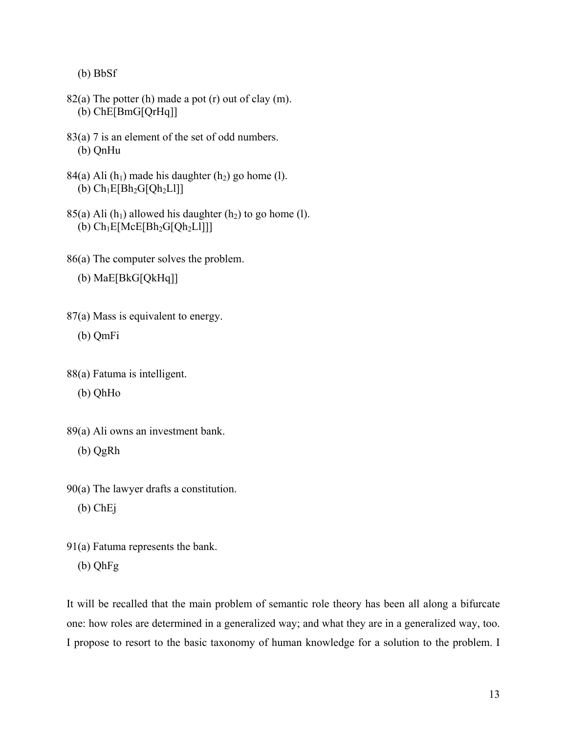(b) BbSf

- 82(a) The potter (h) made a pot (r) out of clay (m). (b) ChE[BmG[QrHq]]
- 83(a) 7 is an element of the set of odd numbers. (b) QnHu
- 84(a) Ali  $(h_1)$  made his daughter  $(h_2)$  go home (l). (b)  $Ch_1E[Bh_2G[Qh_2L]]$
- 85(a) Ali  $(h_1)$  allowed his daughter  $(h_2)$  to go home (l). (b)  $Ch_1E[McE[Bh_2G[Qh_2L]]]$
- 86(a) The computer solves the problem.

(b) MaE[BkG[QkHq]]

- 87(a) Mass is equivalent to energy.
	- (b) QmFi
- 88(a) Fatuma is intelligent.
	- (b) QhHo
- 89(a) Ali owns an investment bank.
	- (b) QgRh

90(a) The lawyer drafts a constitution.

- (b) ChEj
- 91(a) Fatuma represents the bank. (b) QhFg

It will be recalled that the main problem of semantic role theory has been all along a bifurcate one: how roles are determined in a generalized way; and what they are in a generalized way, too. I propose to resort to the basic taxonomy of human knowledge for a solution to the problem. I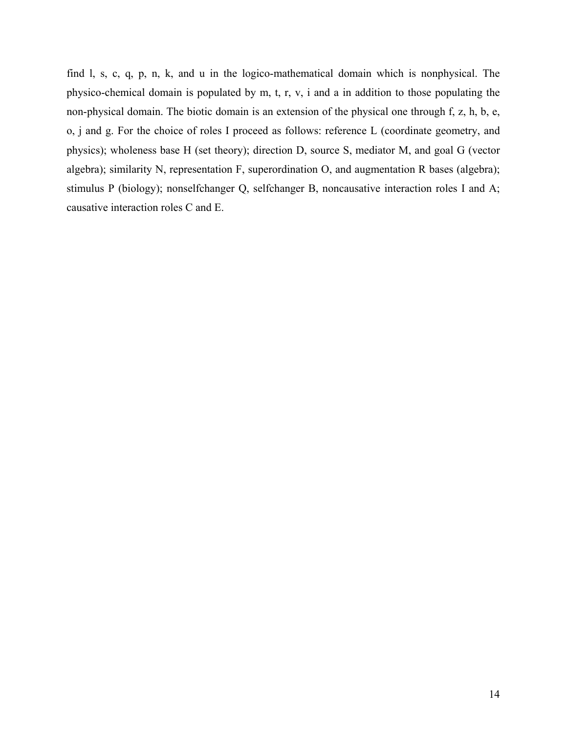find l, s, c, q, p, n, k, and u in the logico-mathematical domain which is nonphysical. The physico-chemical domain is populated by m, t, r, v, i and a in addition to those populating the non-physical domain. The biotic domain is an extension of the physical one through f, z, h, b, e, o, j and g. For the choice of roles I proceed as follows: reference L (coordinate geometry, and physics); wholeness base H (set theory); direction D, source S, mediator M, and goal G (vector algebra); similarity N, representation F, superordination O, and augmentation R bases (algebra); stimulus P (biology); nonselfchanger Q, selfchanger B, noncausative interaction roles I and A; causative interaction roles C and E.